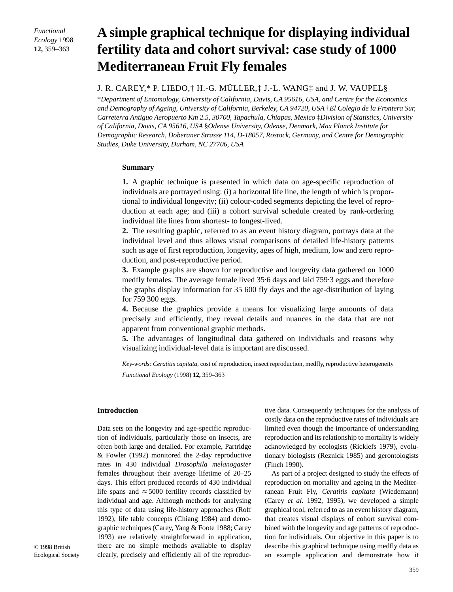*Functional Ecology* 1998 **12,** 359–363

# **A simple graphical technique for displaying individual fertility data and cohort survival: case study of 1000 Mediterranean Fruit Fly females**

## J. R. CAREY,\* P. LIEDO,† H.-G. MÜLLER,‡ J.-L. WANG‡ and J. W. VAUPEL§

\**Department of Entomology, University of California, Davis, CA 95616, USA, and Centre for the Economics and Demography of Ageing, University of California, Berkeley, CA 94720, USA* †*El Colegio de la Frontera Sur, Carreterra Antiguo Aeropuerto Km 2.5, 30700, Tapachula, Chiapas, Mexico* ‡*Division of Statistics, University of California, Davis, CA 95616, USA* §*Odense University, Odense, Denmark, Max Planck Institute for Demographic Research, Doberaner Strasse 114, D-18057, Rostock, Germany, and Centre for Demographic Studies, Duke University, Durham, NC 27706, USA*

### **Summary**

**1.** A graphic technique is presented in which data on age-specific reproduction of individuals are portrayed using: (i) a horizontal life line, the length of which is proportional to individual longevity; (ii) colour-coded segments depicting the level of reproduction at each age; and (iii) a cohort survival schedule created by rank-ordering individual life lines from shortest- to longest-lived.

**2.** The resulting graphic, referred to as an event history diagram, portrays data at the individual level and thus allows visual comparisons of detailed life-history patterns such as age of first reproduction, longevity, ages of high, medium, low and zero reproduction, and post-reproductive period.

**3.** Example graphs are shown for reproductive and longevity data gathered on 1000 medfly females. The average female lived 35·6 days and laid 759·3 eggs and therefore the graphs display information for 35 600 fly days and the age-distribution of laying for 759 300 eggs.

**4.** Because the graphics provide a means for visualizing large amounts of data precisely and efficiently, they reveal details and nuances in the data that are not apparent from conventional graphic methods.

**5.** The advantages of longitudinal data gathered on individuals and reasons why visualizing individual-level data is important are discussed.

*Key-words: Ceratitis capitata*, cost of reproduction, insect reproduction, medfly, reproductive heterogeneity *Functional Ecology* (1998) **12,** 359–363

### **Introduction**

Data sets on the longevity and age-specific reproduction of individuals, particularly those on insects, are often both large and detailed. For example, Partridge & Fowler (1992) monitored the 2-day reproductive rates in 430 individual *Drosophila melanogaster* females throughout their average lifetime of 20–25 days. This effort produced records of 430 individual life spans and  $\approx$  5000 fertility records classified by individual and age. Although methods for analysing this type of data using life-history approaches (Roff 1992), life table concepts (Chiang 1984) and demographic techniques (Carey, Yang & Foote 1988; Carey 1993) are relatively straightforward in application, there are no simple methods available to display clearly, precisely and efficiently all of the reproduc-

tive data. Consequently techniques for the analysis of costly data on the reproductive rates of individuals are limited even though the importance of understanding reproduction and its relationship to mortality is widely acknowledged by ecologists (Ricklefs 1979), evolutionary biologists (Reznick 1985) and gerontologists (Finch 1990).

As part of a project designed to study the effects of reproduction on mortality and ageing in the Mediterranean Fruit Fly, *Ceratitis capitata* (Wiedemann) (Carey *et al.* 1992, 1995), we developed a simple graphical tool, referred to as an event history diagram, that creates visual displays of cohort survival combined with the longevity and age patterns of reproduction for individuals. Our objective in this paper is to describe this graphical technique using medfly data as an example application and demonstrate how it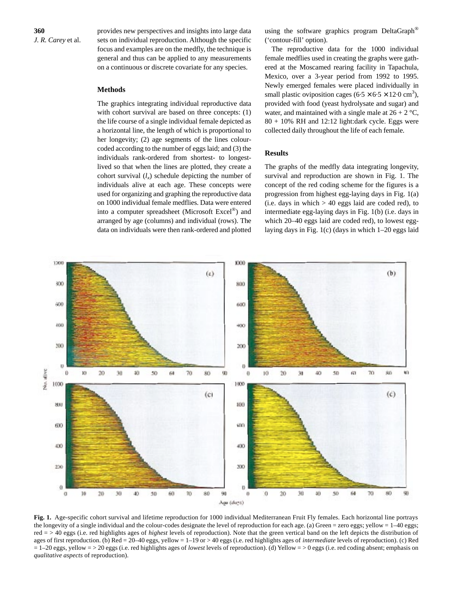provides new perspectives and insights into large data sets on individual reproduction. Although the specific focus and examples are on the medfly, the technique is general and thus can be applied to any measurements on a continuous or discrete covariate for any species.

## **Methods**

The graphics integrating individual reproductive data with cohort survival are based on three concepts: (1) the life course of a single individual female depicted as a horizontal line, the length of which is proportional to her longevity; (2) age segments of the lines colourcoded according to the number of eggs laid; and (3) the individuals rank-ordered from shortest- to longestlived so that when the lines are plotted, they create a cohort survival  $(l_x)$  schedule depicting the number of individuals alive at each age. These concepts were used for organizing and graphing the reproductive data on 1000 individual female medflies. Data were entered into a computer spreadsheet (Microsoft Excel®) and arranged by age (columns) and individual (rows). The data on individuals were then rank-ordered and plotted

using the software graphics program DeltaGraph<sup>®</sup> ('contour-fill' option).

The reproductive data for the 1000 individual female medflies used in creating the graphs were gathered at the Moscamed rearing facility in Tapachula, Mexico, over a 3-year period from 1992 to 1995. Newly emerged females were placed individually in small plastic oviposition cages  $(6.5 \times 6.5 \times 12.0 \text{ cm}^3)$ , provided with food (yeast hydrolysate and sugar) and water, and maintained with a single male at  $26 + 2 \degree C$ ,  $80 + 10\%$  RH and 12:12 light:dark cycle. Eggs were collected daily throughout the life of each female.

## **Results**

The graphs of the medfly data integrating longevity, survival and reproduction are shown in Fig. 1. The concept of the red coding scheme for the figures is a progression from highest egg-laying days in Fig. 1(a) (i.e. days in which  $> 40$  eggs laid are coded red), to intermediate egg-laying days in Fig. 1(b) (i.e. days in which 20–40 eggs laid are coded red), to lowest egglaying days in Fig. 1(c) (days in which 1–20 eggs laid



**Fig. 1.** Age-specific cohort survival and lifetime reproduction for 1000 individual Mediterranean Fruit Fly females. Each horizontal line portrays the longevity of a single individual and the colour-codes designate the level of reproduction for each age. (a) Green = zero eggs; yellow =  $1-40$  eggs; red = > 40 eggs (i.e. red highlights ages of *highest* levels of reproduction). Note that the green vertical band on the left depicts the distribution of ages of first reproduction. (b) Red = 20–40 eggs, yellow = 1–19 or > 40 eggs (i.e. red highlights ages of *intermediate* levels of reproduction). (c) Red = 1–20 eggs, yellow = > 20 eggs (i.e. red highlights ages of *lowest* levels of reproduction). (d) Yellow = > 0 eggs (i.e. red coding absent; emphasis on *qualitative aspects* of reproduction).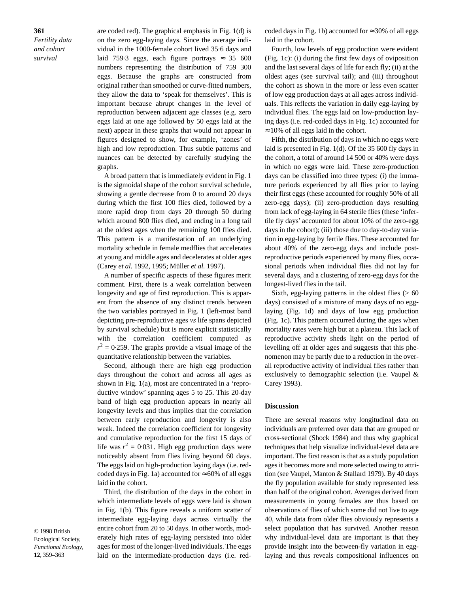**361** *Fertility data and cohort survival*

are coded red). The graphical emphasis in Fig. 1(d) is on the zero egg-laying days. Since the average individual in the 1000-female cohort lived 35·6 days and laid 759.3 eggs, each figure portrays  $\approx$  35 600 numbers representing the distribution of 759 300 eggs. Because the graphs are constructed from original rather than smoothed or curve-fitted numbers, they allow the data to 'speak for themselves'. This is important because abrupt changes in the level of reproduction between adjacent age classes (e.g. zero eggs laid at one age followed by 50 eggs laid at the next) appear in these graphs that would not appear in figures designed to show, for example, 'zones' of high and low reproduction. Thus subtle patterns and nuances can be detected by carefully studying the graphs.

A broad pattern that is immediately evident in Fig. 1 is the sigmoidal shape of the cohort survival schedule, showing a gentle decrease from 0 to around 20 days during which the first 100 flies died, followed by a more rapid drop from days 20 through 50 during which around 800 flies died, and ending in a long tail at the oldest ages when the remaining 100 flies died. This pattern is a manifestation of an underlying mortality schedule in female medflies that accelerates at young and middle ages and decelerates at older ages (Carey *et al.* 1992, 1995; Müller *et al.* 1997).

A number of specific aspects of these figures merit comment. First, there is a weak correlation between longevity and age of first reproduction. This is apparent from the absence of any distinct trends between the two variables portrayed in Fig. 1 (left-most band depicting pre-reproductive ages *vs* life spans depicted by survival schedule) but is more explicit statistically with the correlation coefficient computed as  $r^2 = 0.259$ . The graphs provide a visual image of the quantitative relationship between the variables.

Second, although there are high egg production days throughout the cohort and across all ages as shown in Fig. 1(a), most are concentrated in a 'reproductive window' spanning ages 5 to 25. This 20-day band of high egg production appears in nearly all longevity levels and thus implies that the correlation between early reproduction and longevity is also weak. Indeed the correlation coefficient for longevity and cumulative reproduction for the first 15 days of life was  $r^2 = 0.031$ . High egg production days were noticeably absent from flies living beyond 60 days. The eggs laid on high-production laying days (i.e. redcoded days in Fig. 1a) accounted for  $\approx 60\%$  of all eggs laid in the cohort.

Third, the distribution of the days in the cohort in which intermediate levels of eggs were laid is shown in Fig. 1(b). This figure reveals a uniform scatter of intermediate egg-laying days across virtually the entire cohort from 20 to 50 days. In other words, moderately high rates of egg-laying persisted into older ages for most of the longer-lived individuals. The eggs laid on the intermediate-production days (i.e. red-

coded days in Fig. 1b) accounted for  $\approx$  30% of all eggs laid in the cohort.

Fourth, low levels of egg production were evident (Fig. 1c): (i) during the first few days of oviposition and the last several days of life for each fly; (ii) at the oldest ages (see survival tail); and (iii) throughout the cohort as shown in the more or less even scatter of low egg production days at all ages across individuals. This reflects the variation in daily egg-laying by individual flies. The eggs laid on low-production laying days (i.e. red-coded days in Fig. 1c) accounted for  $\approx 10\%$  of all eggs laid in the cohort.

Fifth, the distribution of days in which no eggs were laid is presented in Fig. 1(d). Of the 35 600 fly days in the cohort, a total of around 14 500 or 40% were days in which no eggs were laid. These zero-production days can be classified into three types: (i) the immature periods experienced by all flies prior to laying their first eggs (these accounted for roughly 50% of all zero-egg days); (ii) zero-production days resulting from lack of egg-laying in 64 sterile flies (these 'infertile fly days' accounted for about 10% of the zero-egg days in the cohort); (iii) those due to day-to-day variation in egg-laying by fertile flies. These accounted for about 40% of the zero-egg days and include postreproductive periods experienced by many flies, occasional periods when individual flies did not lay for several days, and a clustering of zero-egg days for the longest-lived flies in the tail.

Sixth, egg-laying patterns in the oldest flies  $(> 60$ days) consisted of a mixture of many days of no egglaying (Fig. 1d) and days of low egg production (Fig. 1c). This pattern occurred during the ages when mortality rates were high but at a plateau. This lack of reproductive activity sheds light on the period of levelling off at older ages and suggests that this phenomenon may be partly due to a reduction in the overall reproductive activity of individual flies rather than exclusively to demographic selection (i.e. Vaupel & Carey 1993).

#### **Discussion**

There are several reasons why longitudinal data on individuals are preferred over data that are grouped or cross-sectional (Shock 1984) and thus why graphical techniques that help visualize individual-level data are important. The first reason is that as a study population ages it becomes more and more selected owing to attrition (see Vaupel, Manton & Stallard 1979). By 40 days the fly population available for study represented less than half of the original cohort. Averages derived from measurements in young females are thus based on observations of flies of which some did not live to age 40, while data from older flies obviously represents a select population that has survived. Another reason why individual-level data are important is that they provide insight into the between-fly variation in egglaying and thus reveals compositional influences on

© 1998 British Ecological Society, *Functional Ecology,* **12**, 359–363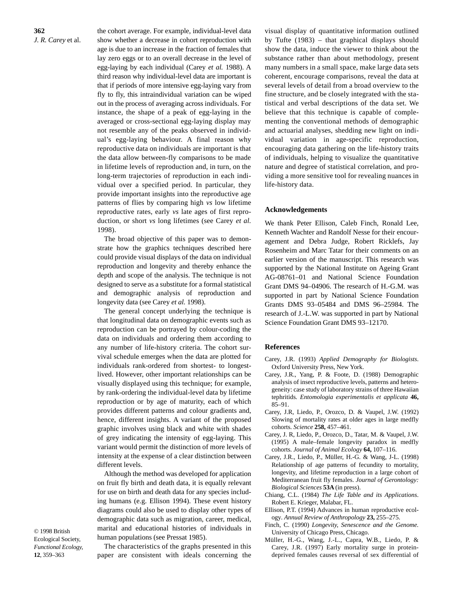the cohort average. For example, individual-level data show whether a decrease in cohort reproduction with age is due to an increase in the fraction of females that lay zero eggs or to an overall decrease in the level of egg-laying by each individual (Carey *et al.* 1988). A third reason why individual-level data are important is that if periods of more intensive egg-laying vary from fly to fly, this intraindividual variation can be wiped out in the process of averaging across individuals. For instance, the shape of a peak of egg-laying in the averaged or cross-sectional egg-laying display may not resemble any of the peaks observed in individual's egg-laying behaviour. A final reason why reproductive data on individuals are important is that the data allow between-fly comparisons to be made in lifetime levels of reproduction and, in turn, on the long-term trajectories of reproduction in each individual over a specified period. In particular, they provide important insights into the reproductive age patterns of flies by comparing high *vs* low lifetime reproductive rates, early *vs* late ages of first reproduction, or short *vs* long lifetimes (see Carey *et al.* 1998).

The broad objective of this paper was to demonstrate how the graphics techniques described here could provide visual displays of the data on individual reproduction and longevity and thereby enhance the depth and scope of the analysis. The technique is not designed to serve as a substitute for a formal statistical and demographic analysis of reproduction and longevity data (see Carey *et al.* 1998).

The general concept underlying the technique is that longitudinal data on demographic events such as reproduction can be portrayed by colour-coding the data on individuals and ordering them according to any number of life-history criteria. The cohort survival schedule emerges when the data are plotted for individuals rank-ordered from shortest- to longestlived. However, other important relationships can be visually displayed using this technique; for example, by rank-ordering the individual-level data by lifetime reproduction or by age of maturity, each of which provides different patterns and colour gradients and, hence, different insights. A variant of the proposed graphic involves using black and white with shades of grey indicating the intensity of egg-laying. This variant would permit the distinction of more levels of intensity at the expense of a clear distinction between different levels.

Although the method was developed for application on fruit fly birth and death data, it is equally relevant for use on birth and death data for any species including humans (e.g. Ellison 1994). These event history diagrams could also be used to display other types of demographic data such as migration, career, medical, marital and educational histories of individuals in human populations (see Pressat 1985).

© 1998 British Ecological Society, *Functional Ecology,* **12**, 359–363

The characteristics of the graphs presented in this paper are consistent with ideals concerning the

visual display of quantitative information outlined by Tufte (1983) – that graphical displays should show the data, induce the viewer to think about the substance rather than about methodology, present many numbers in a small space, make large data sets coherent, encourage comparisons, reveal the data at several levels of detail from a broad overview to the fine structure, and be closely integrated with the statistical and verbal descriptions of the data set. We believe that this technique is capable of complementing the conventional methods of demographic and actuarial analyses, shedding new light on individual variation in age-specific reproduction, encouraging data gathering on the life-history traits of individuals, helping to visualize the quantitative nature and degree of statistical correlation, and providing a more sensitive tool for revealing nuances in life-history data.

#### **Acknowledgements**

We thank Peter Ellison, Caleb Finch, Ronald Lee, Kenneth Wachter and Randolf Nesse for their encouragement and Debra Judge, Robert Ricklefs, Jay Rosenheim and Marc Tatar for their comments on an earlier version of the manuscript. This research was supported by the National Institute on Ageing Grant AG-08761–01 and National Science Foundation Grant DMS 94–04906. The research of H.-G.M. was supported in part by National Science Foundation Grants DMS 93–05484 and DMS 96–25984. The research of J.-L.W. was supported in part by National Science Foundation Grant DMS 93–12170.

#### **References**

- Carey, J.R. (1993) *Applied Demography for Biologists*. Oxford University Press, New York.
- Carey, J.R., Yang, P. & Foote, D. (1988) Demographic analysis of insect reproductive levels, patterns and heterogeneity: case study of laboratory strains of three Hawaiian tephritids*. Entomologia experimentalis et applicata* **46,** 85–91.
- Carey, J.R, Liedo, P., Orozco, D. & Vaupel, J.W. (1992) Slowing of mortality rates at older ages in large medfly cohorts*. Science* **258,** 457–461.
- Carey, J. R, Liedo, P., Orozco, D., Tatar, M. & Vaupel, J.W. (1995) A male–female longevity paradox in medfly cohorts*. Journal of Animal Ecology* **64,** 107–116.
- Carey, J.R., Liedo, P., Müller, H.-G. & Wang, J-L. (1998) Relationship of age patterns of fecundity to mortality, longevity, and lifetime reproduction in a large cohort of Mediterranean fruit fly females. *Journal of Gerontology: Biological Sciences* **53A** (in press).
- Chiang, C.L. (1984) *The Life Table and its Applications*. Robert E. Krieger, Malabar, FL.
- Ellison, P.T. (1994) Advances in human reproductive ecology*. Annual Review of Anthropology* **23,** 255–275.
- Finch, C. (1990) *Longevity, Senescence and the Genome.* University of Chicago Press, Chicago.
- Müller, H.-G., Wang, J.-L., Capra, W.B., Liedo, P. & Carey, J.R. (1997) Early mortality surge in proteindeprived females causes reversal of sex differential of